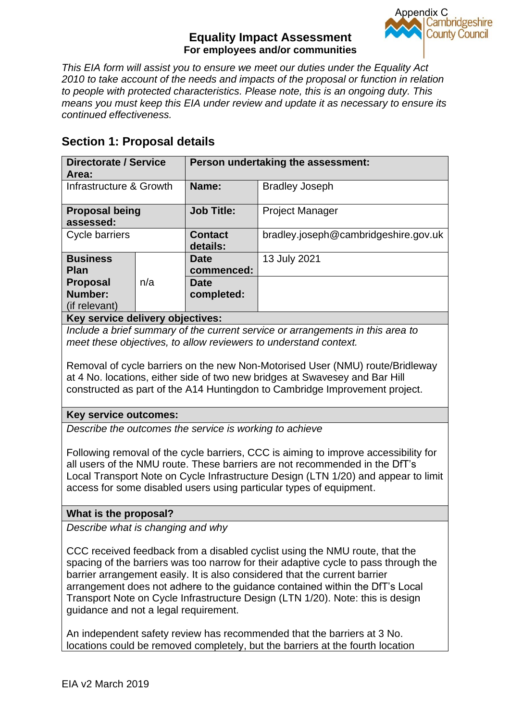

*This EIA form will assist you to ensure we meet our duties under the Equality Act 2010 to take account of the needs and impacts of the proposal or function in relation to people with protected characteristics. Please note, this is an ongoing duty. This means you must keep this EIA under review and update it as necessary to ensure its continued effectiveness.*

# **Section 1: Proposal details**

| <b>Directorate / Service</b><br>Area:       |     | Person undertaking the assessment: |                                      |  |  |  |
|---------------------------------------------|-----|------------------------------------|--------------------------------------|--|--|--|
| Infrastructure & Growth                     |     | Name:                              | <b>Bradley Joseph</b>                |  |  |  |
| <b>Proposal being</b><br>assessed:          |     | <b>Job Title:</b>                  | <b>Project Manager</b>               |  |  |  |
| Cycle barriers                              |     | <b>Contact</b><br>details:         | bradley.joseph@cambridgeshire.gov.uk |  |  |  |
| <b>Business</b><br><b>Plan</b>              |     | <b>Date</b><br>commenced:          | 13 July 2021                         |  |  |  |
| <b>Proposal</b><br>Number:<br>(if relevant) | n/a | <b>Date</b><br>completed:          |                                      |  |  |  |
| Kay samisa delivery ehisetiyesi             |     |                                    |                                      |  |  |  |

**Key service delivery objectives:**

*Include a brief summary of the current service or arrangements in this area to meet these objectives, to allow reviewers to understand context.*

Removal of cycle barriers on the new Non-Motorised User (NMU) route/Bridleway at 4 No. locations, either side of two new bridges at Swavesey and Bar Hill constructed as part of the A14 Huntingdon to Cambridge Improvement project.

## **Key service outcomes:**

*Describe the outcomes the service is working to achieve*

Following removal of the cycle barriers, CCC is aiming to improve accessibility for all users of the NMU route. These barriers are not recommended in the DfT's Local Transport Note on Cycle Infrastructure Design (LTN 1/20) and appear to limit access for some disabled users using particular types of equipment.

## **What is the proposal?**

*Describe what is changing and why*

CCC received feedback from a disabled cyclist using the NMU route, that the spacing of the barriers was too narrow for their adaptive cycle to pass through the barrier arrangement easily. It is also considered that the current barrier arrangement does not adhere to the guidance contained within the DfT's Local Transport Note on Cycle Infrastructure Design (LTN 1/20). Note: this is design guidance and not a legal requirement.

An independent safety review has recommended that the barriers at 3 No. locations could be removed completely, but the barriers at the fourth location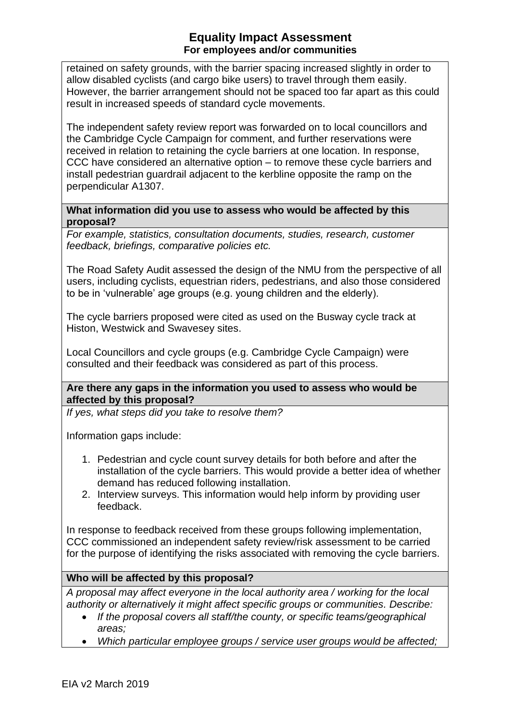retained on safety grounds, with the barrier spacing increased slightly in order to allow disabled cyclists (and cargo bike users) to travel through them easily. However, the barrier arrangement should not be spaced too far apart as this could result in increased speeds of standard cycle movements.

The independent safety review report was forwarded on to local councillors and the Cambridge Cycle Campaign for comment, and further reservations were received in relation to retaining the cycle barriers at one location. In response, CCC have considered an alternative option – to remove these cycle barriers and install pedestrian guardrail adjacent to the kerbline opposite the ramp on the perpendicular A1307.

#### **What information did you use to assess who would be affected by this proposal?**

*For example, statistics, consultation documents, studies, research, customer feedback, briefings, comparative policies etc.*

The Road Safety Audit assessed the design of the NMU from the perspective of all users, including cyclists, equestrian riders, pedestrians, and also those considered to be in 'vulnerable' age groups (e.g. young children and the elderly).

The cycle barriers proposed were cited as used on the Busway cycle track at Histon, Westwick and Swavesey sites.

Local Councillors and cycle groups (e.g. Cambridge Cycle Campaign) were consulted and their feedback was considered as part of this process.

#### **Are there any gaps in the information you used to assess who would be affected by this proposal?**

*If yes, what steps did you take to resolve them?*

Information gaps include:

- 1. Pedestrian and cycle count survey details for both before and after the installation of the cycle barriers. This would provide a better idea of whether demand has reduced following installation.
- 2. Interview surveys. This information would help inform by providing user feedback.

In response to feedback received from these groups following implementation, CCC commissioned an independent safety review/risk assessment to be carried for the purpose of identifying the risks associated with removing the cycle barriers.

#### **Who will be affected by this proposal?**

*A proposal may affect everyone in the local authority area / working for the local authority or alternatively it might affect specific groups or communities. Describe:*

- *If the proposal covers all staff/the county, or specific teams/geographical areas;*
- *Which particular employee groups / service user groups would be affected;*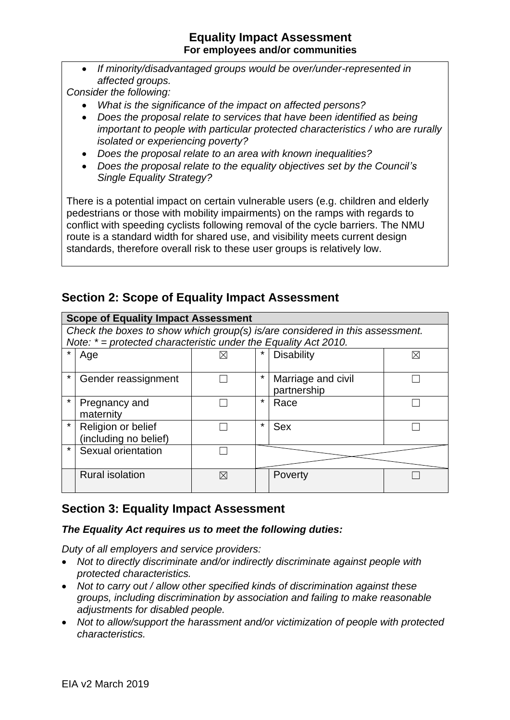• *If minority/disadvantaged groups would be over/under-represented in affected groups.*

*Consider the following:*

- *What is the significance of the impact on affected persons?*
- *Does the proposal relate to services that have been identified as being important to people with particular protected characteristics / who are rurally isolated or experiencing poverty?*
- *Does the proposal relate to an area with known inequalities?*
- *Does the proposal relate to the equality objectives set by the Council's Single Equality Strategy?*

There is a potential impact on certain vulnerable users (e.g. children and elderly pedestrians or those with mobility impairments) on the ramps with regards to conflict with speeding cyclists following removal of the cycle barriers. The NMU route is a standard width for shared use, and visibility meets current design standards, therefore overall risk to these user groups is relatively low.

# **Section 2: Scope of Equality Impact Assessment**

| <b>Scope of Equality Impact Assessment</b> |                                                                              |             |         |                    |   |  |  |
|--------------------------------------------|------------------------------------------------------------------------------|-------------|---------|--------------------|---|--|--|
|                                            | Check the boxes to show which group(s) is/are considered in this assessment. |             |         |                    |   |  |  |
|                                            | Note: $* =$ protected characteristic under the Equality Act 2010.            |             |         |                    |   |  |  |
| $\star$                                    | Age                                                                          | ⋉           |         | <b>Disability</b>  | ⋉ |  |  |
|                                            |                                                                              |             |         |                    |   |  |  |
| $\star$                                    | Gender reassignment                                                          |             | $\star$ | Marriage and civil |   |  |  |
|                                            |                                                                              |             |         | partnership        |   |  |  |
| $\star$                                    | Pregnancy and                                                                |             | $\star$ | Race               |   |  |  |
|                                            | maternity                                                                    |             |         |                    |   |  |  |
| $\star$                                    | Religion or belief                                                           |             | $\star$ | <b>Sex</b>         |   |  |  |
|                                            | (including no belief)                                                        |             |         |                    |   |  |  |
| $\star$                                    | Sexual orientation                                                           |             |         |                    |   |  |  |
|                                            |                                                                              |             |         |                    |   |  |  |
|                                            | <b>Rural isolation</b>                                                       | $\boxtimes$ |         | Poverty            |   |  |  |
|                                            |                                                                              |             |         |                    |   |  |  |

# **Section 3: Equality Impact Assessment**

#### *The Equality Act requires us to meet the following duties:*

*Duty of all employers and service providers:* 

- *Not to directly discriminate and/or indirectly discriminate against people with protected characteristics.*
- *Not to carry out / allow other specified kinds of discrimination against these groups, including discrimination by association and failing to make reasonable adjustments for disabled people.*
- *Not to allow/support the harassment and/or victimization of people with protected characteristics.*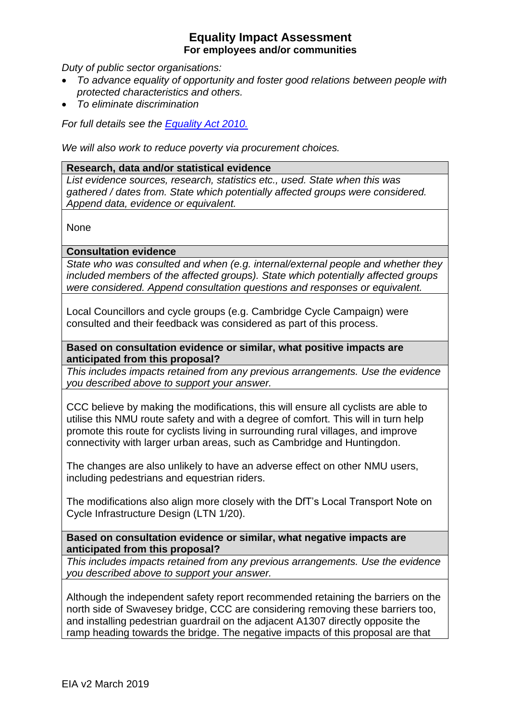*Duty of public sector organisations:* 

- *To advance equality of opportunity and foster good relations between people with protected characteristics and others.*
- *To eliminate discrimination*

*For full details see the [Equality Act 2010.](https://www.legislation.gov.uk/ukpga/2010/15/contents)*

*We will also work to reduce poverty via procurement choices.*

#### **Research, data and/or statistical evidence**

*List evidence sources, research, statistics etc., used. State when this was gathered / dates from. State which potentially affected groups were considered. Append data, evidence or equivalent.*

None

#### **Consultation evidence**

*State who was consulted and when (e.g. internal/external people and whether they included members of the affected groups). State which potentially affected groups were considered. Append consultation questions and responses or equivalent.*

Local Councillors and cycle groups (e.g. Cambridge Cycle Campaign) were consulted and their feedback was considered as part of this process.

#### **Based on consultation evidence or similar, what positive impacts are anticipated from this proposal?**

*This includes impacts retained from any previous arrangements. Use the evidence you described above to support your answer.*

CCC believe by making the modifications, this will ensure all cyclists are able to utilise this NMU route safety and with a degree of comfort. This will in turn help promote this route for cyclists living in surrounding rural villages, and improve connectivity with larger urban areas, such as Cambridge and Huntingdon.

The changes are also unlikely to have an adverse effect on other NMU users, including pedestrians and equestrian riders.

The modifications also align more closely with the DfT's Local Transport Note on Cycle Infrastructure Design (LTN 1/20).

**Based on consultation evidence or similar, what negative impacts are anticipated from this proposal?**

*This includes impacts retained from any previous arrangements. Use the evidence you described above to support your answer.*

Although the independent safety report recommended retaining the barriers on the north side of Swavesey bridge, CCC are considering removing these barriers too, and installing pedestrian guardrail on the adjacent A1307 directly opposite the ramp heading towards the bridge. The negative impacts of this proposal are that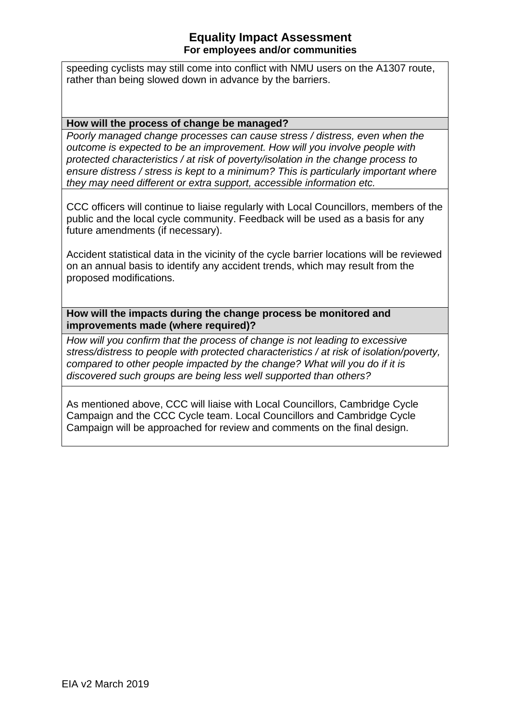speeding cyclists may still come into conflict with NMU users on the A1307 route, rather than being slowed down in advance by the barriers.

#### **How will the process of change be managed?**

*Poorly managed change processes can cause stress / distress, even when the outcome is expected to be an improvement. How will you involve people with protected characteristics / at risk of poverty/isolation in the change process to ensure distress / stress is kept to a minimum? This is particularly important where they may need different or extra support, accessible information etc.*

CCC officers will continue to liaise regularly with Local Councillors, members of the public and the local cycle community. Feedback will be used as a basis for any future amendments (if necessary).

Accident statistical data in the vicinity of the cycle barrier locations will be reviewed on an annual basis to identify any accident trends, which may result from the proposed modifications.

**How will the impacts during the change process be monitored and improvements made (where required)?**

*How will you confirm that the process of change is not leading to excessive stress/distress to people with protected characteristics / at risk of isolation/poverty, compared to other people impacted by the change? What will you do if it is discovered such groups are being less well supported than others?*

As mentioned above, CCC will liaise with Local Councillors, Cambridge Cycle Campaign and the CCC Cycle team. Local Councillors and Cambridge Cycle Campaign will be approached for review and comments on the final design.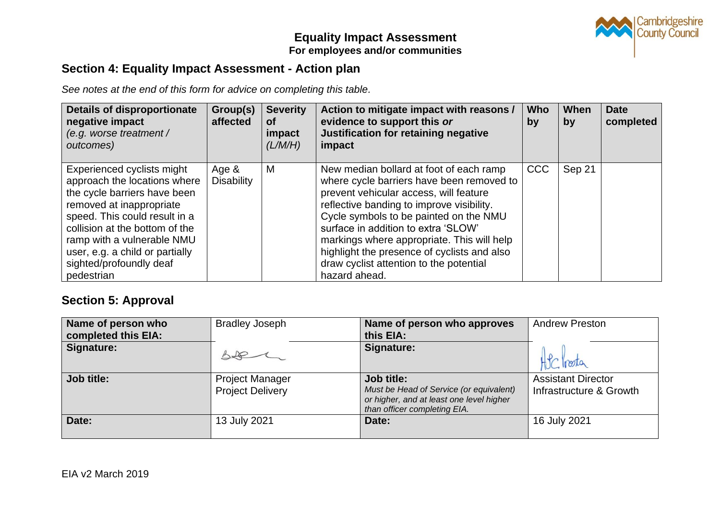

# **Section 4: Equality Impact Assessment - Action plan**

*See notes at the end of this form for advice on completing this table.* 

| <b>Details of disproportionate</b><br>negative impact<br>(e.g. worse treatment /<br>outcomes)                                                                                                                                                                                                       | Group(s)<br>affected          | <b>Severity</b><br><b>of</b><br>impact<br>(L/M/H) | Action to mitigate impact with reasons /<br>evidence to support this or<br>Justification for retaining negative<br>impact                                                                                                                                                                                                                                                                                             | <b>Who</b><br>by | When<br>by | <b>Date</b><br>completed |
|-----------------------------------------------------------------------------------------------------------------------------------------------------------------------------------------------------------------------------------------------------------------------------------------------------|-------------------------------|---------------------------------------------------|-----------------------------------------------------------------------------------------------------------------------------------------------------------------------------------------------------------------------------------------------------------------------------------------------------------------------------------------------------------------------------------------------------------------------|------------------|------------|--------------------------|
| Experienced cyclists might<br>approach the locations where<br>the cycle barriers have been<br>removed at inappropriate<br>speed. This could result in a<br>collision at the bottom of the<br>ramp with a vulnerable NMU<br>user, e.g. a child or partially<br>sighted/profoundly deaf<br>pedestrian | Age $\&$<br><b>Disability</b> | M                                                 | New median bollard at foot of each ramp<br>where cycle barriers have been removed to<br>prevent vehicular access, will feature<br>reflective banding to improve visibility.<br>Cycle symbols to be painted on the NMU<br>surface in addition to extra 'SLOW'<br>markings where appropriate. This will help<br>highlight the presence of cyclists and also<br>draw cyclist attention to the potential<br>hazard ahead. | <b>CCC</b>       | Sep 21     |                          |

# **Section 5: Approval**

| Name of person who<br>completed this EIA: | <b>Bradley Joseph</b>                             | Name of person who approves<br>this EIA:                                                                                          | <b>Andrew Preston</b>                                |
|-------------------------------------------|---------------------------------------------------|-----------------------------------------------------------------------------------------------------------------------------------|------------------------------------------------------|
| Signature:                                |                                                   | Signature:                                                                                                                        | HSC Proton                                           |
| Job title:                                | <b>Project Manager</b><br><b>Project Delivery</b> | Job title:<br>Must be Head of Service (or equivalent)<br>or higher, and at least one level higher<br>than officer completing EIA. | <b>Assistant Director</b><br>Infrastructure & Growth |
| Date:                                     | 13 July 2021                                      | Date:                                                                                                                             | 16 July 2021                                         |